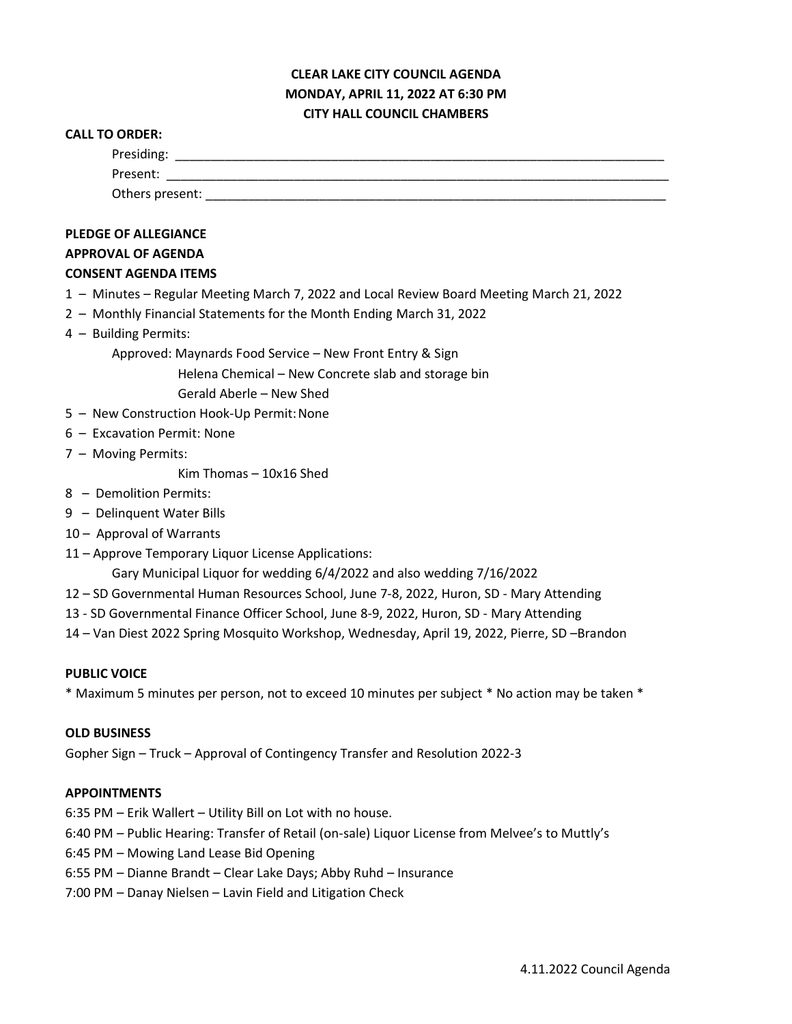## **CLEAR LAKE CITY COUNCIL AGENDA MONDAY, APRIL 11, 2022 AT 6:30 PM CITY HALL COUNCIL CHAMBERS**

#### **CALL TO ORDER:**

| <b>PLEDGE OF ALLEGIANCE</b> |  |  |
|-----------------------------|--|--|
| <b>APPROVAL OF AGENDA</b>   |  |  |

### **CONSENT AGENDA ITEMS**

- 1 Minutes Regular Meeting March 7, 2022 and Local Review Board Meeting March 21, 2022
- 2 Monthly Financial Statements for the Month Ending March 31, 2022
- 4 Building Permits:

Approved: Maynards Food Service – New Front Entry & Sign

Helena Chemical – New Concrete slab and storage bin

Gerald Aberle – New Shed

- 5 New Construction Hook-Up Permit: None
- 6 Excavation Permit: None
- 7 Moving Permits:

Kim Thomas – 10x16 Shed

- 8 Demolition Permits:
- 9 Delinquent Water Bills
- 10 Approval of Warrants
- 11 Approve Temporary Liquor License Applications:

Gary Municipal Liquor for wedding 6/4/2022 and also wedding 7/16/2022

- 12 SD Governmental Human Resources School, June 7-8, 2022, Huron, SD Mary Attending
- 13 SD Governmental Finance Officer School, June 8-9, 2022, Huron, SD Mary Attending
- 14 Van Diest 2022 Spring Mosquito Workshop, Wednesday, April 19, 2022, Pierre, SD –Brandon

### **PUBLIC VOICE**

\* Maximum 5 minutes per person, not to exceed 10 minutes per subject \* No action may be taken \*

### **OLD BUSINESS**

Gopher Sign – Truck – Approval of Contingency Transfer and Resolution 2022-3

### **APPOINTMENTS**

- 6:35 PM Erik Wallert Utility Bill on Lot with no house.
- 6:40 PM Public Hearing: Transfer of Retail (on-sale) Liquor License from Melvee's to Muttly's
- 6:45 PM Mowing Land Lease Bid Opening
- 6:55 PM Dianne Brandt Clear Lake Days; Abby Ruhd Insurance
- 7:00 PM Danay Nielsen Lavin Field and Litigation Check